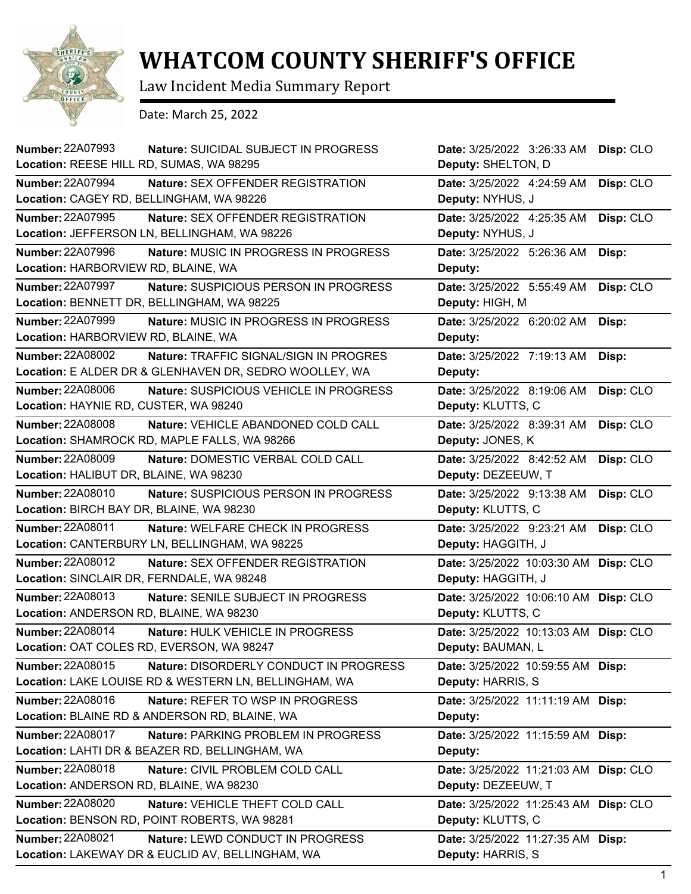

## **WHATCOM COUNTY SHERIFF'S OFFICE**

Law Incident Media Summary Report

Date: March 25, 2022

| <b>Number: 22A07993</b><br>Location: REESE HILL RD, SUMAS, WA 98295 | Nature: SUICIDAL SUBJECT IN PROGRESS                                                                    | Date: 3/25/2022 3:26:33 AM                                 | Disp: CLO |
|---------------------------------------------------------------------|---------------------------------------------------------------------------------------------------------|------------------------------------------------------------|-----------|
|                                                                     |                                                                                                         | Deputy: SHELTON, D                                         |           |
| <b>Number: 22A07994</b>                                             | Nature: SEX OFFENDER REGISTRATION<br>Location: CAGEY RD, BELLINGHAM, WA 98226                           | Date: 3/25/2022 4:24:59 AM<br>Deputy: NYHUS, J             | Disp: CLO |
| <b>Number: 22A07995</b>                                             | Nature: SEX OFFENDER REGISTRATION<br>Location: JEFFERSON LN, BELLINGHAM, WA 98226                       | Date: 3/25/2022 4:25:35 AM<br>Deputy: NYHUS, J             | Disp: CLO |
| Number: 22A07996<br>Location: HARBORVIEW RD, BLAINE, WA             | Nature: MUSIC IN PROGRESS IN PROGRESS                                                                   | Date: 3/25/2022 5:26:36 AM<br>Deputy:                      | Disp:     |
| <b>Number: 22A07997</b>                                             | Nature: SUSPICIOUS PERSON IN PROGRESS<br>Location: BENNETT DR, BELLINGHAM, WA 98225                     | Date: 3/25/2022 5:55:49 AM<br>Deputy: HIGH, M              | Disp: CLO |
| <b>Number: 22A07999</b><br>Location: HARBORVIEW RD, BLAINE, WA      | Nature: MUSIC IN PROGRESS IN PROGRESS                                                                   | Date: 3/25/2022 6:20:02 AM<br>Deputy:                      | Disp:     |
| <b>Number: 22A08002</b>                                             | <b>Nature: TRAFFIC SIGNAL/SIGN IN PROGRES</b><br>Location: E ALDER DR & GLENHAVEN DR, SEDRO WOOLLEY, WA | Date: 3/25/2022 7:19:13 AM<br>Deputy:                      | Disp:     |
| <b>Number: 22A08006</b><br>Location: HAYNIE RD, CUSTER, WA 98240    | Nature: SUSPICIOUS VEHICLE IN PROGRESS                                                                  | Date: 3/25/2022 8:19:06 AM<br>Deputy: KLUTTS, C            | Disp: CLO |
| <b>Number: 22A08008</b>                                             | Nature: VEHICLE ABANDONED COLD CALL<br>Location: SHAMROCK RD, MAPLE FALLS, WA 98266                     | Date: 3/25/2022 8:39:31 AM<br>Deputy: JONES, K             | Disp: CLO |
| <b>Number: 22A08009</b><br>Location: HALIBUT DR, BLAINE, WA 98230   | Nature: DOMESTIC VERBAL COLD CALL                                                                       | Date: 3/25/2022 8:42:52 AM<br>Deputy: DEZEEUW, T           | Disp: CLO |
| Number: 22A08010<br>Location: BIRCH BAY DR, BLAINE, WA 98230        | Nature: SUSPICIOUS PERSON IN PROGRESS                                                                   | Date: 3/25/2022 9:13:38 AM<br>Deputy: KLUTTS, C            | Disp: CLO |
| <b>Number: 22A08011</b>                                             | <b>Nature: WELFARE CHECK IN PROGRESS</b><br>Location: CANTERBURY LN, BELLINGHAM, WA 98225               | Date: 3/25/2022 9:23:21 AM<br>Deputy: HAGGITH, J           | Disp: CLO |
| Number: 22A08012                                                    | Nature: SEX OFFENDER REGISTRATION<br>Location: SINCLAIR DR, FERNDALE, WA 98248                          | Date: 3/25/2022 10:03:30 AM<br>Deputy: HAGGITH, J          | Disp: CLO |
| <b>Number: 22A08013</b><br>Location: ANDERSON RD, BLAINE, WA 98230  | Nature: SENILE SUBJECT IN PROGRESS                                                                      | Date: 3/25/2022 10:06:10 AM<br>Deputy: KLUTTS, C           | Disp: CLO |
| Number: 22A08014                                                    | Nature: HULK VEHICLE IN PROGRESS<br>Location: OAT COLES RD, EVERSON, WA 98247                           | Date: 3/25/2022 10:13:03 AM Disp: CLO<br>Deputy: BAUMAN, L |           |
| Number: 22A08015                                                    | Nature: DISORDERLY CONDUCT IN PROGRESS<br>Location: LAKE LOUISE RD & WESTERN LN, BELLINGHAM, WA         | Date: 3/25/2022 10:59:55 AM<br>Deputy: HARRIS, S           | Disp:     |
| Number: 22A08016                                                    | Nature: REFER TO WSP IN PROGRESS<br>Location: BLAINE RD & ANDERSON RD, BLAINE, WA                       | Date: 3/25/2022 11:11:19 AM<br>Deputy:                     | Disp:     |
| <b>Number: 22A08017</b>                                             | Nature: PARKING PROBLEM IN PROGRESS<br>Location: LAHTI DR & BEAZER RD, BELLINGHAM, WA                   | Date: 3/25/2022 11:15:59 AM<br>Deputy:                     | Disp:     |
| <b>Number: 22A08018</b><br>Location: ANDERSON RD, BLAINE, WA 98230  | Nature: CIVIL PROBLEM COLD CALL                                                                         | Date: 3/25/2022 11:21:03 AM<br>Deputy: DEZEEUW, T          | Disp: CLO |
| <b>Number: 22A08020</b>                                             | Nature: VEHICLE THEFT COLD CALL<br>Location: BENSON RD, POINT ROBERTS, WA 98281                         | Date: 3/25/2022 11:25:43 AM<br>Deputy: KLUTTS, C           | Disp: CLO |
| <b>Number: 22A08021</b>                                             | Nature: LEWD CONDUCT IN PROGRESS<br>Location: LAKEWAY DR & EUCLID AV, BELLINGHAM, WA                    | Date: 3/25/2022 11:27:35 AM<br>Deputy: HARRIS, S           | Disp:     |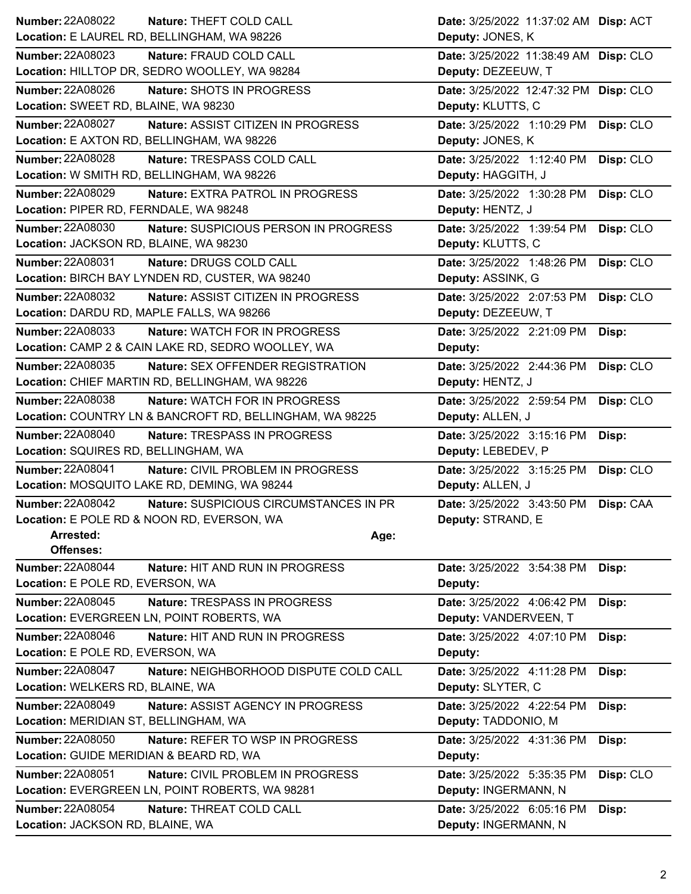| <b>Number: 22A08022</b><br>Nature: THEFT COLD CALL                               | Date: 3/25/2022 11:37:02 AM Disp: ACT                       |
|----------------------------------------------------------------------------------|-------------------------------------------------------------|
| Location: E LAUREL RD, BELLINGHAM, WA 98226                                      | Deputy: JONES, K                                            |
| Number: 22A08023<br>Nature: FRAUD COLD CALL                                      | Date: 3/25/2022 11:38:49 AM Disp: CLO                       |
| Location: HILLTOP DR, SEDRO WOOLLEY, WA 98284                                    | Deputy: DEZEEUW, T                                          |
| <b>Number: 22A08026</b><br>Nature: SHOTS IN PROGRESS                             | Date: 3/25/2022 12:47:32 PM Disp: CLO                       |
| Location: SWEET RD, BLAINE, WA 98230                                             | Deputy: KLUTTS, C                                           |
| <b>Number: 22A08027</b><br>Nature: ASSIST CITIZEN IN PROGRESS                    | Date: 3/25/2022 1:10:29 PM<br>Disp: CLO                     |
| Location: E AXTON RD, BELLINGHAM, WA 98226                                       | Deputy: JONES, K                                            |
| <b>Number: 22A08028</b><br>Nature: TRESPASS COLD CALL                            | Date: 3/25/2022 1:12:40 PM<br>Disp: CLO                     |
| Location: W SMITH RD, BELLINGHAM, WA 98226                                       | Deputy: HAGGITH, J                                          |
| Number: 22A08029<br>Nature: EXTRA PATROL IN PROGRESS                             | Date: 3/25/2022 1:30:28 PM<br>Disp: CLO                     |
| Location: PIPER RD, FERNDALE, WA 98248                                           | Deputy: HENTZ, J                                            |
| Number: 22A08030<br>Nature: SUSPICIOUS PERSON IN PROGRESS                        | Date: 3/25/2022 1:39:54 PM<br>Disp: CLO                     |
| Location: JACKSON RD, BLAINE, WA 98230                                           | Deputy: KLUTTS, C                                           |
| Number: 22A08031<br>Nature: DRUGS COLD CALL                                      | Date: 3/25/2022 1:48:26 PM<br>Disp: CLO                     |
| Location: BIRCH BAY LYNDEN RD, CUSTER, WA 98240                                  | Deputy: ASSINK, G                                           |
| <b>Number: 22A08032</b><br>Nature: ASSIST CITIZEN IN PROGRESS                    | Date: 3/25/2022 2:07:53 PM<br>Disp: CLO                     |
| Location: DARDU RD, MAPLE FALLS, WA 98266                                        | Deputy: DEZEEUW, T                                          |
| <b>Number: 22A08033</b><br>Nature: WATCH FOR IN PROGRESS                         | Date: 3/25/2022 2:21:09 PM<br>Disp:                         |
| Location: CAMP 2 & CAIN LAKE RD, SEDRO WOOLLEY, WA                               | Deputy:                                                     |
| <b>Number: 22A08035</b><br>Nature: SEX OFFENDER REGISTRATION                     | Disp: CLO<br>Date: 3/25/2022 2:44:36 PM                     |
| Location: CHIEF MARTIN RD, BELLINGHAM, WA 98226                                  | Deputy: HENTZ, J                                            |
| <b>Number: 22A08038</b><br>Nature: WATCH FOR IN PROGRESS                         | Disp: CLO<br>Date: 3/25/2022 2:59:54 PM                     |
| Location: COUNTRY LN & BANCROFT RD, BELLINGHAM, WA 98225                         | Deputy: ALLEN, J                                            |
|                                                                                  |                                                             |
| <b>Number: 22A08040</b><br>Nature: TRESPASS IN PROGRESS                          | Date: 3/25/2022 3:15:16 PM<br>Disp:                         |
| Location: SQUIRES RD, BELLINGHAM, WA                                             | Deputy: LEBEDEV, P                                          |
| <b>Number: 22A08041</b><br>Nature: CIVIL PROBLEM IN PROGRESS                     | Date: 3/25/2022 3:15:25 PM<br>Disp: CLO                     |
| Location: MOSQUITO LAKE RD, DEMING, WA 98244                                     | Deputy: ALLEN, J                                            |
| Number: 22A08042<br>Nature: SUSPICIOUS CIRCUMSTANCES IN PR                       | Date: 3/25/2022 3:43:50 PM<br>Disp: CAA                     |
| Location: E POLE RD & NOON RD, EVERSON, WA                                       | Deputy: STRAND, E                                           |
| Arrested:                                                                        | Age:                                                        |
| Offenses:                                                                        |                                                             |
| <b>Number: 22A08044</b><br>Nature: HIT AND RUN IN PROGRESS                       | Date: 3/25/2022 3:54:38 PM<br>Disp:                         |
| Location: E POLE RD, EVERSON, WA                                                 | Deputy:                                                     |
| <b>Number: 22A08045</b><br>Nature: TRESPASS IN PROGRESS                          | Date: 3/25/2022 4:06:42 PM<br>Disp:                         |
| Location: EVERGREEN LN, POINT ROBERTS, WA                                        | Deputy: VANDERVEEN, T                                       |
| <b>Number: 22A08046</b><br>Nature: HIT AND RUN IN PROGRESS                       | Date: 3/25/2022 4:07:10 PM<br>Disp:                         |
| Location: E POLE RD, EVERSON, WA                                                 | Deputy:                                                     |
| <b>Number: 22A08047</b><br>Nature: NEIGHBORHOOD DISPUTE COLD CALL                | Date: 3/25/2022 4:11:28 PM<br>Disp:                         |
| Location: WELKERS RD, BLAINE, WA                                                 | Deputy: SLYTER, C                                           |
| <b>Number: 22A08049</b><br>Nature: ASSIST AGENCY IN PROGRESS                     | Date: 3/25/2022 4:22:54 PM<br>Disp:                         |
| Location: MERIDIAN ST, BELLINGHAM, WA                                            | Deputy: TADDONIO, M                                         |
| Number: 22A08050<br>Nature: REFER TO WSP IN PROGRESS                             | Date: 3/25/2022 4:31:36 PM<br>Disp:                         |
| Location: GUIDE MERIDIAN & BEARD RD, WA                                          | Deputy:                                                     |
| <b>Number: 22A08051</b><br>Nature: CIVIL PROBLEM IN PROGRESS                     | Date: 3/25/2022 5:35:35 PM<br>Disp: CLO                     |
| Location: EVERGREEN LN, POINT ROBERTS, WA 98281                                  | Deputy: INGERMANN, N                                        |
| Number: 22A08054<br>Nature: THREAT COLD CALL<br>Location: JACKSON RD, BLAINE, WA | Date: 3/25/2022 6:05:16 PM<br>Disp:<br>Deputy: INGERMANN, N |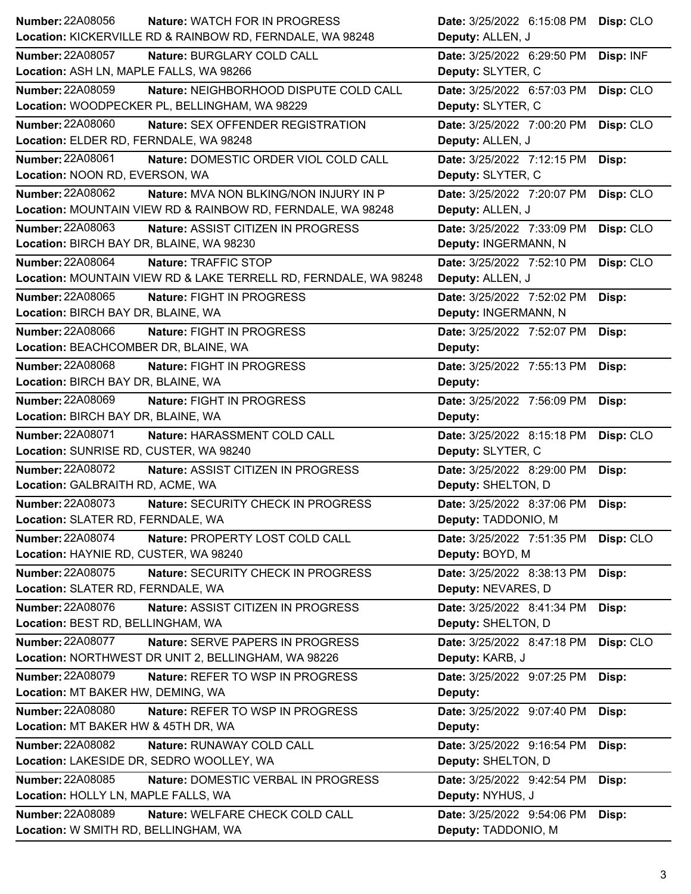| <b>Number: 22A08056</b><br>Nature: WATCH FOR IN PROGRESS              | Date: 3/25/2022 6:15:08 PM Disp: CLO |           |
|-----------------------------------------------------------------------|--------------------------------------|-----------|
| Location: KICKERVILLE RD & RAINBOW RD, FERNDALE, WA 98248             | Deputy: ALLEN, J                     |           |
| <b>Number: 22A08057</b><br>Nature: BURGLARY COLD CALL                 | Date: 3/25/2022 6:29:50 PM           | Disp: INF |
| Location: ASH LN, MAPLE FALLS, WA 98266                               | Deputy: SLYTER, C                    |           |
| <b>Number: 22A08059</b><br>Nature: NEIGHBORHOOD DISPUTE COLD CALL     | Date: 3/25/2022 6:57:03 PM           | Disp: CLO |
| Location: WOODPECKER PL, BELLINGHAM, WA 98229                         | Deputy: SLYTER, C                    |           |
| <b>Number: 22A08060</b><br>Nature: SEX OFFENDER REGISTRATION          | Date: 3/25/2022 7:00:20 PM           | Disp: CLO |
| Location: ELDER RD, FERNDALE, WA 98248                                | Deputy: ALLEN, J                     |           |
| <b>Number: 22A08061</b><br>Nature: DOMESTIC ORDER VIOL COLD CALL      | Date: 3/25/2022 7:12:15 PM<br>Disp:  |           |
| Location: NOON RD, EVERSON, WA                                        | Deputy: SLYTER, C                    |           |
| Number: 22A08062<br><b>Nature: MVA NON BLKING/NON INJURY IN P</b>     | Date: 3/25/2022 7:20:07 PM           | Disp: CLO |
| Location: MOUNTAIN VIEW RD & RAINBOW RD, FERNDALE, WA 98248           | Deputy: ALLEN, J                     |           |
| <b>Number: 22A08063</b><br>Nature: ASSIST CITIZEN IN PROGRESS         | Date: 3/25/2022 7:33:09 PM           | Disp: CLO |
| Location: BIRCH BAY DR, BLAINE, WA 98230                              | Deputy: INGERMANN, N                 |           |
| Number: 22A08064<br>Nature: TRAFFIC STOP                              | Date: 3/25/2022 7:52:10 PM           | Disp: CLO |
| Location: MOUNTAIN VIEW RD & LAKE TERRELL RD, FERNDALE, WA 98248      | Deputy: ALLEN, J                     |           |
| <b>Number: 22A08065</b><br>Nature: FIGHT IN PROGRESS                  | Date: 3/25/2022 7:52:02 PM<br>Disp:  |           |
| Location: BIRCH BAY DR, BLAINE, WA                                    | Deputy: INGERMANN, N                 |           |
| Number: 22A08066<br>Nature: FIGHT IN PROGRESS                         | Date: 3/25/2022 7:52:07 PM<br>Disp:  |           |
| Location: BEACHCOMBER DR, BLAINE, WA                                  | Deputy:                              |           |
| <b>Number: 22A08068</b><br>Nature: FIGHT IN PROGRESS                  | Date: 3/25/2022 7:55:13 PM<br>Disp:  |           |
| Location: BIRCH BAY DR, BLAINE, WA                                    | Deputy:                              |           |
| Number: 22A08069<br>Nature: FIGHT IN PROGRESS                         | Date: 3/25/2022 7:56:09 PM<br>Disp:  |           |
| Location: BIRCH BAY DR, BLAINE, WA                                    | Deputy:                              |           |
|                                                                       |                                      |           |
| Number: 22A08071<br>Nature: HARASSMENT COLD CALL                      | Date: 3/25/2022 8:15:18 PM           | Disp: CLO |
| Location: SUNRISE RD, CUSTER, WA 98240                                | Deputy: SLYTER, C                    |           |
| <b>Number: 22A08072</b><br>Nature: ASSIST CITIZEN IN PROGRESS         | Date: 3/25/2022 8:29:00 PM<br>Disp:  |           |
| Location: GALBRAITH RD, ACME, WA                                      | Deputy: SHELTON, D                   |           |
| <b>Number: 22A08073</b><br>Nature: SECURITY CHECK IN PROGRESS         | Date: 3/25/2022 8:37:06 PM<br>Disp:  |           |
| Location: SLATER RD, FERNDALE, WA                                     | Deputy: TADDONIO, M                  |           |
| Number: 22A08074<br>Nature: PROPERTY LOST COLD CALL                   | Date: 3/25/2022 7:51:35 PM           | Disp: CLO |
| Location: HAYNIE RD, CUSTER, WA 98240                                 | Deputy: BOYD, M                      |           |
| Number: 22A08075<br>Nature: SECURITY CHECK IN PROGRESS                | Date: 3/25/2022 8:38:13 PM<br>Disp:  |           |
| Location: SLATER RD, FERNDALE, WA                                     | Deputy: NEVARES, D                   |           |
| Number: 22A08076<br>Nature: ASSIST CITIZEN IN PROGRESS                | Date: 3/25/2022 8:41:34 PM<br>Disp:  |           |
| Location: BEST RD, BELLINGHAM, WA                                     | Deputy: SHELTON, D                   |           |
| <b>Number: 22A08077</b><br>Nature: SERVE PAPERS IN PROGRESS           | Date: 3/25/2022 8:47:18 PM           | Disp: CLO |
| Location: NORTHWEST DR UNIT 2, BELLINGHAM, WA 98226                   | Deputy: KARB, J                      |           |
| Number: 22A08079<br>Nature: REFER TO WSP IN PROGRESS                  | Date: 3/25/2022 9:07:25 PM<br>Disp:  |           |
| Location: MT BAKER HW, DEMING, WA                                     | Deputy:                              |           |
| <b>Number: 22A08080</b><br>Nature: REFER TO WSP IN PROGRESS           | Date: 3/25/2022 9:07:40 PM<br>Disp:  |           |
| Location: MT BAKER HW & 45TH DR, WA                                   | Deputy:                              |           |
| <b>Number: 22A08082</b><br>Nature: RUNAWAY COLD CALL                  | Date: 3/25/2022 9:16:54 PM<br>Disp:  |           |
| Location: LAKESIDE DR, SEDRO WOOLLEY, WA                              | Deputy: SHELTON, D                   |           |
| <b>Number: 22A08085</b><br><b>Nature: DOMESTIC VERBAL IN PROGRESS</b> | Date: 3/25/2022 9:42:54 PM<br>Disp:  |           |
| Location: HOLLY LN, MAPLE FALLS, WA                                   | Deputy: NYHUS, J                     |           |
| <b>Number: 22A08089</b><br>Nature: WELFARE CHECK COLD CALL            | Date: 3/25/2022 9:54:06 PM<br>Disp:  |           |